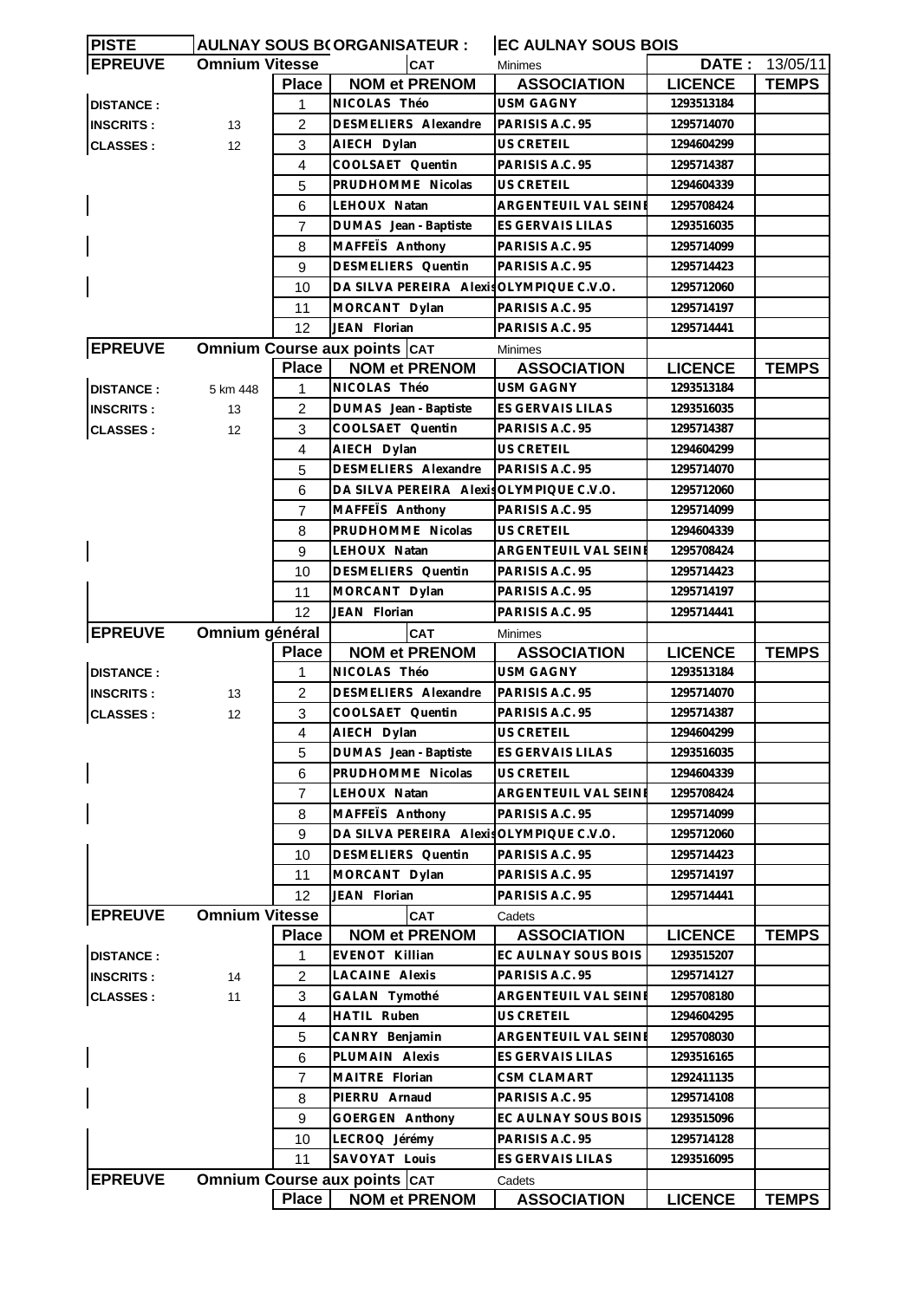| <b>DATE: 13/05/11</b><br><b>Omnium Vitesse</b><br><b>CAT</b><br><b>Minimes</b><br><b>NOM et PRENOM</b><br><b>LICENCE</b><br><b>ASSOCIATION</b><br><b>TEMPS</b><br><b>Place</b><br>NICOLAS Théo<br><b>USM GAGNY</b><br>1293513184<br>1<br>DESMELIERS Alexandre<br>$\overline{c}$<br>PARISIS A.C. 95<br>1295714070<br>13<br><b>US CRETEIL</b><br>3<br>AIECH Dylan<br>1294604299<br>12 <sup>°</sup><br>$\overline{4}$<br>COOLSAET Quentin<br>PARISIS A.C. 95<br>1295714387<br><b>US CRETEIL</b><br>5<br>PRUDHOMME Nicolas<br>1294604339<br>6<br>LEHOUX Natan<br>ARGENTEUIL VAL SEINI<br>1295708424<br>DUMAS Jean - Baptiste<br>ES GERVAIS LILAS<br>1293516035<br>7<br>MAFFETS Anthony<br>PARISIS A.C. 95<br>8<br>1295714099<br>9<br><b>DESMELIERS</b> Quentin<br>PARISIS A.C. 95<br>1295714423<br>DA SILVA PEREIRA Alexis OLYMPIQUE C.V.O.<br>10<br>1295712060<br>11<br>MORCANT Dylan<br>PARISIS A.C. 95<br>1295714197<br>12<br>JEAN Florian<br>PARISIS A.C. 95<br>1295714441<br><b>EPREUVE</b><br><b>Omnium Course aux points CAT</b><br><b>Minimes</b><br><b>NOM et PRENOM</b><br><b>Place</b><br><b>ASSOCIATION</b><br><b>LICENCE</b><br><b>TEMPS</b><br>NICOLAS Théo<br><b>DISTANCE:</b><br>USM GAGNY<br>1293513184<br>5 km 448<br>1<br>DUMAS Jean - Baptiste<br>ES GERVAIS LILAS<br>2<br>1293516035<br><b>INSCRITS:</b><br>13<br>COOLSAET Quentin<br>PARISIS A.C. 95<br><b>CLASSES:</b><br>3<br>1295714387<br>12<br>$\overline{4}$<br>AIECH Dylan<br>US CRETEIL<br>1294604299<br>DESMELIERS Alexandre<br>PARISIS A.C. 95<br>5<br>1295714070<br>6<br>DA SILVA PEREIRA Alexis OLYMPIQUE C.V.O.<br>1295712060<br>MAFFETS Anthony<br>PARISIS A.C. 95<br>$\overline{7}$<br>1295714099<br>PRUDHOMME Nicolas<br>8<br>US CRETEIL<br>1294604339<br>9<br>LEHOUX Natan<br><b>ARGENTEUIL VAL SEINE</b><br>1295708424<br>DESMELIERS Quentin<br>10<br>PARISIS A.C. 95<br>1295714423<br>MORCANT Dylan<br>11<br>PARISIS A.C. 95<br>1295714197<br>12<br>JEAN Florian<br>PARISIS A.C. 95<br>1295714441<br><b>EPREUVE</b><br>Omnium général<br><b>CAT</b><br><b>Minimes</b><br><b>Place</b><br><b>NOM et PRENOM</b><br><b>ASSOCIATION</b><br><b>LICENCE</b><br><b>TEMPS</b><br>NICOLAS Théo<br><b>USM GAGNY</b><br><b>DISTANCE:</b><br>1293513184<br>1<br>$\overline{2}$<br><b>DESMELIERS</b> Alexandre<br>PARISIS A.C. 95<br>1295714070<br><b>INSCRITS:</b><br>13<br>3<br>COOLSAET Quentin<br>PARISIS A.C. 95<br>1295714387<br><b>CLASSES:</b><br>12<br>AIECH Dylan<br>US CRETEIL<br>$\overline{4}$<br>1294604299<br>5<br>DUMAS Jean - Baptiste<br>ES GERVAIS LILAS<br>1293516035<br>PRUDHOMME Nicolas<br>US CRETEIL<br>1294604339<br>6<br>$\overline{7}$<br>LEHOUX Natan<br>ARGENTEUIL VAL SEINE<br>1295708424<br>8<br>MAFFETS Anthony<br>PARISIS A.C. 95<br>1295714099<br>9<br>DA SILVA PEREIRA Alexis OLYMPIQUE C.V.O.<br>1295712060<br>10<br>DESMELIERS Quentin<br>PARISIS A.C. 95<br>1295714423<br>11<br>MORCANT Dylan<br>PARISIS A.C. 95<br>1295714197<br>12<br>JEAN Florian<br>PARISIS A.C. 95<br>1295714441<br><b>EPREUVE</b><br><b>Omnium Vitesse</b><br><b>CAT</b><br>Cadets<br><b>ASSOCIATION</b><br><b>Place</b><br><b>NOM et PRENOM</b><br><b>LICENCE</b><br><b>TEMPS</b><br><b>DISTANCE:</b><br>EVENOT Killian<br>EC AULNAY SOUS BOIS<br>1293515207<br>1<br>LACAINE Alexis<br>PARISIS A.C. 95<br>$\overline{c}$<br>1295714127<br><b>INSCRITS:</b><br>14<br>3<br><b>CLASSES:</b><br>GALAN Tymothé<br>ARGENTEUIL VAL SEINE<br>1295708180<br>11<br>HATIL Ruben<br>$\overline{4}$<br><b>US CRETEIL</b><br>1294604295<br>5<br>CANRY Benjamin<br>ARGENTEUIL VAL SEINE<br>1295708030<br>PLUMAIN Alexis<br>6<br>ES GERVAIS LILAS<br>1293516165<br>MAITRE Florian<br><b>CSM CLAMART</b><br>1292411135<br>7<br>8<br>PIERRU Arnaud<br>PARISIS A.C. 95<br>1295714108<br>GOERGEN Anthony<br>9<br>EC AULNAY SOUS BOIS<br>1293515096<br>LECROQ Jérémy<br>PARISIS A.C. 95<br>1295714128<br>10<br>11<br>SAVOYAT Louis<br>ES GERVAIS LILAS<br>1293516095<br>Omnium Course aux points CAT<br>Cadets<br><b>Place</b><br><b>LICENCE</b><br><b>NOM et PRENOM</b><br><b>ASSOCIATION</b><br><b>TEMPS</b> | <b>PISTE</b>     |  | <b>AULNAY SOUS B(ORGANISATEUR:</b> | <b>EC AULNAY SOUS BOIS</b> |  |
|--------------------------------------------------------------------------------------------------------------------------------------------------------------------------------------------------------------------------------------------------------------------------------------------------------------------------------------------------------------------------------------------------------------------------------------------------------------------------------------------------------------------------------------------------------------------------------------------------------------------------------------------------------------------------------------------------------------------------------------------------------------------------------------------------------------------------------------------------------------------------------------------------------------------------------------------------------------------------------------------------------------------------------------------------------------------------------------------------------------------------------------------------------------------------------------------------------------------------------------------------------------------------------------------------------------------------------------------------------------------------------------------------------------------------------------------------------------------------------------------------------------------------------------------------------------------------------------------------------------------------------------------------------------------------------------------------------------------------------------------------------------------------------------------------------------------------------------------------------------------------------------------------------------------------------------------------------------------------------------------------------------------------------------------------------------------------------------------------------------------------------------------------------------------------------------------------------------------------------------------------------------------------------------------------------------------------------------------------------------------------------------------------------------------------------------------------------------------------------------------------------------------------------------------------------------------------------------------------------------------------------------------------------------------------------------------------------------------------------------------------------------------------------------------------------------------------------------------------------------------------------------------------------------------------------------------------------------------------------------------------------------------------------------------------------------------------------------------------------------------------------------------------------------------------------------------------------------------------------------------------------------------------------------------------------------------------------------------------------------------------------------------------------------------------------------------------------------------------------------------------------------------------------------------------------------------------------------------------------------------------------------------------------------------------------------------------------------------------------------------------------------------------------------------------------------------------------------------------------------------------------------------------------------------------------------------------------------------------------------------------------------------------------------------------------------------------------|------------------|--|------------------------------------|----------------------------|--|
|                                                                                                                                                                                                                                                                                                                                                                                                                                                                                                                                                                                                                                                                                                                                                                                                                                                                                                                                                                                                                                                                                                                                                                                                                                                                                                                                                                                                                                                                                                                                                                                                                                                                                                                                                                                                                                                                                                                                                                                                                                                                                                                                                                                                                                                                                                                                                                                                                                                                                                                                                                                                                                                                                                                                                                                                                                                                                                                                                                                                                                                                                                                                                                                                                                                                                                                                                                                                                                                                                                                                                                                                                                                                                                                                                                                                                                                                                                                                                                                                                                                                                | <b>EPREUVE</b>   |  |                                    |                            |  |
|                                                                                                                                                                                                                                                                                                                                                                                                                                                                                                                                                                                                                                                                                                                                                                                                                                                                                                                                                                                                                                                                                                                                                                                                                                                                                                                                                                                                                                                                                                                                                                                                                                                                                                                                                                                                                                                                                                                                                                                                                                                                                                                                                                                                                                                                                                                                                                                                                                                                                                                                                                                                                                                                                                                                                                                                                                                                                                                                                                                                                                                                                                                                                                                                                                                                                                                                                                                                                                                                                                                                                                                                                                                                                                                                                                                                                                                                                                                                                                                                                                                                                |                  |  |                                    |                            |  |
|                                                                                                                                                                                                                                                                                                                                                                                                                                                                                                                                                                                                                                                                                                                                                                                                                                                                                                                                                                                                                                                                                                                                                                                                                                                                                                                                                                                                                                                                                                                                                                                                                                                                                                                                                                                                                                                                                                                                                                                                                                                                                                                                                                                                                                                                                                                                                                                                                                                                                                                                                                                                                                                                                                                                                                                                                                                                                                                                                                                                                                                                                                                                                                                                                                                                                                                                                                                                                                                                                                                                                                                                                                                                                                                                                                                                                                                                                                                                                                                                                                                                                | <b>DISTANCE:</b> |  |                                    |                            |  |
|                                                                                                                                                                                                                                                                                                                                                                                                                                                                                                                                                                                                                                                                                                                                                                                                                                                                                                                                                                                                                                                                                                                                                                                                                                                                                                                                                                                                                                                                                                                                                                                                                                                                                                                                                                                                                                                                                                                                                                                                                                                                                                                                                                                                                                                                                                                                                                                                                                                                                                                                                                                                                                                                                                                                                                                                                                                                                                                                                                                                                                                                                                                                                                                                                                                                                                                                                                                                                                                                                                                                                                                                                                                                                                                                                                                                                                                                                                                                                                                                                                                                                | <b>INSCRITS:</b> |  |                                    |                            |  |
|                                                                                                                                                                                                                                                                                                                                                                                                                                                                                                                                                                                                                                                                                                                                                                                                                                                                                                                                                                                                                                                                                                                                                                                                                                                                                                                                                                                                                                                                                                                                                                                                                                                                                                                                                                                                                                                                                                                                                                                                                                                                                                                                                                                                                                                                                                                                                                                                                                                                                                                                                                                                                                                                                                                                                                                                                                                                                                                                                                                                                                                                                                                                                                                                                                                                                                                                                                                                                                                                                                                                                                                                                                                                                                                                                                                                                                                                                                                                                                                                                                                                                | <b>CLASSES:</b>  |  |                                    |                            |  |
|                                                                                                                                                                                                                                                                                                                                                                                                                                                                                                                                                                                                                                                                                                                                                                                                                                                                                                                                                                                                                                                                                                                                                                                                                                                                                                                                                                                                                                                                                                                                                                                                                                                                                                                                                                                                                                                                                                                                                                                                                                                                                                                                                                                                                                                                                                                                                                                                                                                                                                                                                                                                                                                                                                                                                                                                                                                                                                                                                                                                                                                                                                                                                                                                                                                                                                                                                                                                                                                                                                                                                                                                                                                                                                                                                                                                                                                                                                                                                                                                                                                                                |                  |  |                                    |                            |  |
|                                                                                                                                                                                                                                                                                                                                                                                                                                                                                                                                                                                                                                                                                                                                                                                                                                                                                                                                                                                                                                                                                                                                                                                                                                                                                                                                                                                                                                                                                                                                                                                                                                                                                                                                                                                                                                                                                                                                                                                                                                                                                                                                                                                                                                                                                                                                                                                                                                                                                                                                                                                                                                                                                                                                                                                                                                                                                                                                                                                                                                                                                                                                                                                                                                                                                                                                                                                                                                                                                                                                                                                                                                                                                                                                                                                                                                                                                                                                                                                                                                                                                |                  |  |                                    |                            |  |
|                                                                                                                                                                                                                                                                                                                                                                                                                                                                                                                                                                                                                                                                                                                                                                                                                                                                                                                                                                                                                                                                                                                                                                                                                                                                                                                                                                                                                                                                                                                                                                                                                                                                                                                                                                                                                                                                                                                                                                                                                                                                                                                                                                                                                                                                                                                                                                                                                                                                                                                                                                                                                                                                                                                                                                                                                                                                                                                                                                                                                                                                                                                                                                                                                                                                                                                                                                                                                                                                                                                                                                                                                                                                                                                                                                                                                                                                                                                                                                                                                                                                                |                  |  |                                    |                            |  |
|                                                                                                                                                                                                                                                                                                                                                                                                                                                                                                                                                                                                                                                                                                                                                                                                                                                                                                                                                                                                                                                                                                                                                                                                                                                                                                                                                                                                                                                                                                                                                                                                                                                                                                                                                                                                                                                                                                                                                                                                                                                                                                                                                                                                                                                                                                                                                                                                                                                                                                                                                                                                                                                                                                                                                                                                                                                                                                                                                                                                                                                                                                                                                                                                                                                                                                                                                                                                                                                                                                                                                                                                                                                                                                                                                                                                                                                                                                                                                                                                                                                                                |                  |  |                                    |                            |  |
|                                                                                                                                                                                                                                                                                                                                                                                                                                                                                                                                                                                                                                                                                                                                                                                                                                                                                                                                                                                                                                                                                                                                                                                                                                                                                                                                                                                                                                                                                                                                                                                                                                                                                                                                                                                                                                                                                                                                                                                                                                                                                                                                                                                                                                                                                                                                                                                                                                                                                                                                                                                                                                                                                                                                                                                                                                                                                                                                                                                                                                                                                                                                                                                                                                                                                                                                                                                                                                                                                                                                                                                                                                                                                                                                                                                                                                                                                                                                                                                                                                                                                |                  |  |                                    |                            |  |
|                                                                                                                                                                                                                                                                                                                                                                                                                                                                                                                                                                                                                                                                                                                                                                                                                                                                                                                                                                                                                                                                                                                                                                                                                                                                                                                                                                                                                                                                                                                                                                                                                                                                                                                                                                                                                                                                                                                                                                                                                                                                                                                                                                                                                                                                                                                                                                                                                                                                                                                                                                                                                                                                                                                                                                                                                                                                                                                                                                                                                                                                                                                                                                                                                                                                                                                                                                                                                                                                                                                                                                                                                                                                                                                                                                                                                                                                                                                                                                                                                                                                                |                  |  |                                    |                            |  |
|                                                                                                                                                                                                                                                                                                                                                                                                                                                                                                                                                                                                                                                                                                                                                                                                                                                                                                                                                                                                                                                                                                                                                                                                                                                                                                                                                                                                                                                                                                                                                                                                                                                                                                                                                                                                                                                                                                                                                                                                                                                                                                                                                                                                                                                                                                                                                                                                                                                                                                                                                                                                                                                                                                                                                                                                                                                                                                                                                                                                                                                                                                                                                                                                                                                                                                                                                                                                                                                                                                                                                                                                                                                                                                                                                                                                                                                                                                                                                                                                                                                                                |                  |  |                                    |                            |  |
|                                                                                                                                                                                                                                                                                                                                                                                                                                                                                                                                                                                                                                                                                                                                                                                                                                                                                                                                                                                                                                                                                                                                                                                                                                                                                                                                                                                                                                                                                                                                                                                                                                                                                                                                                                                                                                                                                                                                                                                                                                                                                                                                                                                                                                                                                                                                                                                                                                                                                                                                                                                                                                                                                                                                                                                                                                                                                                                                                                                                                                                                                                                                                                                                                                                                                                                                                                                                                                                                                                                                                                                                                                                                                                                                                                                                                                                                                                                                                                                                                                                                                |                  |  |                                    |                            |  |
|                                                                                                                                                                                                                                                                                                                                                                                                                                                                                                                                                                                                                                                                                                                                                                                                                                                                                                                                                                                                                                                                                                                                                                                                                                                                                                                                                                                                                                                                                                                                                                                                                                                                                                                                                                                                                                                                                                                                                                                                                                                                                                                                                                                                                                                                                                                                                                                                                                                                                                                                                                                                                                                                                                                                                                                                                                                                                                                                                                                                                                                                                                                                                                                                                                                                                                                                                                                                                                                                                                                                                                                                                                                                                                                                                                                                                                                                                                                                                                                                                                                                                |                  |  |                                    |                            |  |
|                                                                                                                                                                                                                                                                                                                                                                                                                                                                                                                                                                                                                                                                                                                                                                                                                                                                                                                                                                                                                                                                                                                                                                                                                                                                                                                                                                                                                                                                                                                                                                                                                                                                                                                                                                                                                                                                                                                                                                                                                                                                                                                                                                                                                                                                                                                                                                                                                                                                                                                                                                                                                                                                                                                                                                                                                                                                                                                                                                                                                                                                                                                                                                                                                                                                                                                                                                                                                                                                                                                                                                                                                                                                                                                                                                                                                                                                                                                                                                                                                                                                                |                  |  |                                    |                            |  |
|                                                                                                                                                                                                                                                                                                                                                                                                                                                                                                                                                                                                                                                                                                                                                                                                                                                                                                                                                                                                                                                                                                                                                                                                                                                                                                                                                                                                                                                                                                                                                                                                                                                                                                                                                                                                                                                                                                                                                                                                                                                                                                                                                                                                                                                                                                                                                                                                                                                                                                                                                                                                                                                                                                                                                                                                                                                                                                                                                                                                                                                                                                                                                                                                                                                                                                                                                                                                                                                                                                                                                                                                                                                                                                                                                                                                                                                                                                                                                                                                                                                                                |                  |  |                                    |                            |  |
|                                                                                                                                                                                                                                                                                                                                                                                                                                                                                                                                                                                                                                                                                                                                                                                                                                                                                                                                                                                                                                                                                                                                                                                                                                                                                                                                                                                                                                                                                                                                                                                                                                                                                                                                                                                                                                                                                                                                                                                                                                                                                                                                                                                                                                                                                                                                                                                                                                                                                                                                                                                                                                                                                                                                                                                                                                                                                                                                                                                                                                                                                                                                                                                                                                                                                                                                                                                                                                                                                                                                                                                                                                                                                                                                                                                                                                                                                                                                                                                                                                                                                |                  |  |                                    |                            |  |
|                                                                                                                                                                                                                                                                                                                                                                                                                                                                                                                                                                                                                                                                                                                                                                                                                                                                                                                                                                                                                                                                                                                                                                                                                                                                                                                                                                                                                                                                                                                                                                                                                                                                                                                                                                                                                                                                                                                                                                                                                                                                                                                                                                                                                                                                                                                                                                                                                                                                                                                                                                                                                                                                                                                                                                                                                                                                                                                                                                                                                                                                                                                                                                                                                                                                                                                                                                                                                                                                                                                                                                                                                                                                                                                                                                                                                                                                                                                                                                                                                                                                                |                  |  |                                    |                            |  |
|                                                                                                                                                                                                                                                                                                                                                                                                                                                                                                                                                                                                                                                                                                                                                                                                                                                                                                                                                                                                                                                                                                                                                                                                                                                                                                                                                                                                                                                                                                                                                                                                                                                                                                                                                                                                                                                                                                                                                                                                                                                                                                                                                                                                                                                                                                                                                                                                                                                                                                                                                                                                                                                                                                                                                                                                                                                                                                                                                                                                                                                                                                                                                                                                                                                                                                                                                                                                                                                                                                                                                                                                                                                                                                                                                                                                                                                                                                                                                                                                                                                                                |                  |  |                                    |                            |  |
|                                                                                                                                                                                                                                                                                                                                                                                                                                                                                                                                                                                                                                                                                                                                                                                                                                                                                                                                                                                                                                                                                                                                                                                                                                                                                                                                                                                                                                                                                                                                                                                                                                                                                                                                                                                                                                                                                                                                                                                                                                                                                                                                                                                                                                                                                                                                                                                                                                                                                                                                                                                                                                                                                                                                                                                                                                                                                                                                                                                                                                                                                                                                                                                                                                                                                                                                                                                                                                                                                                                                                                                                                                                                                                                                                                                                                                                                                                                                                                                                                                                                                |                  |  |                                    |                            |  |
|                                                                                                                                                                                                                                                                                                                                                                                                                                                                                                                                                                                                                                                                                                                                                                                                                                                                                                                                                                                                                                                                                                                                                                                                                                                                                                                                                                                                                                                                                                                                                                                                                                                                                                                                                                                                                                                                                                                                                                                                                                                                                                                                                                                                                                                                                                                                                                                                                                                                                                                                                                                                                                                                                                                                                                                                                                                                                                                                                                                                                                                                                                                                                                                                                                                                                                                                                                                                                                                                                                                                                                                                                                                                                                                                                                                                                                                                                                                                                                                                                                                                                |                  |  |                                    |                            |  |
|                                                                                                                                                                                                                                                                                                                                                                                                                                                                                                                                                                                                                                                                                                                                                                                                                                                                                                                                                                                                                                                                                                                                                                                                                                                                                                                                                                                                                                                                                                                                                                                                                                                                                                                                                                                                                                                                                                                                                                                                                                                                                                                                                                                                                                                                                                                                                                                                                                                                                                                                                                                                                                                                                                                                                                                                                                                                                                                                                                                                                                                                                                                                                                                                                                                                                                                                                                                                                                                                                                                                                                                                                                                                                                                                                                                                                                                                                                                                                                                                                                                                                |                  |  |                                    |                            |  |
|                                                                                                                                                                                                                                                                                                                                                                                                                                                                                                                                                                                                                                                                                                                                                                                                                                                                                                                                                                                                                                                                                                                                                                                                                                                                                                                                                                                                                                                                                                                                                                                                                                                                                                                                                                                                                                                                                                                                                                                                                                                                                                                                                                                                                                                                                                                                                                                                                                                                                                                                                                                                                                                                                                                                                                                                                                                                                                                                                                                                                                                                                                                                                                                                                                                                                                                                                                                                                                                                                                                                                                                                                                                                                                                                                                                                                                                                                                                                                                                                                                                                                |                  |  |                                    |                            |  |
|                                                                                                                                                                                                                                                                                                                                                                                                                                                                                                                                                                                                                                                                                                                                                                                                                                                                                                                                                                                                                                                                                                                                                                                                                                                                                                                                                                                                                                                                                                                                                                                                                                                                                                                                                                                                                                                                                                                                                                                                                                                                                                                                                                                                                                                                                                                                                                                                                                                                                                                                                                                                                                                                                                                                                                                                                                                                                                                                                                                                                                                                                                                                                                                                                                                                                                                                                                                                                                                                                                                                                                                                                                                                                                                                                                                                                                                                                                                                                                                                                                                                                |                  |  |                                    |                            |  |
|                                                                                                                                                                                                                                                                                                                                                                                                                                                                                                                                                                                                                                                                                                                                                                                                                                                                                                                                                                                                                                                                                                                                                                                                                                                                                                                                                                                                                                                                                                                                                                                                                                                                                                                                                                                                                                                                                                                                                                                                                                                                                                                                                                                                                                                                                                                                                                                                                                                                                                                                                                                                                                                                                                                                                                                                                                                                                                                                                                                                                                                                                                                                                                                                                                                                                                                                                                                                                                                                                                                                                                                                                                                                                                                                                                                                                                                                                                                                                                                                                                                                                |                  |  |                                    |                            |  |
|                                                                                                                                                                                                                                                                                                                                                                                                                                                                                                                                                                                                                                                                                                                                                                                                                                                                                                                                                                                                                                                                                                                                                                                                                                                                                                                                                                                                                                                                                                                                                                                                                                                                                                                                                                                                                                                                                                                                                                                                                                                                                                                                                                                                                                                                                                                                                                                                                                                                                                                                                                                                                                                                                                                                                                                                                                                                                                                                                                                                                                                                                                                                                                                                                                                                                                                                                                                                                                                                                                                                                                                                                                                                                                                                                                                                                                                                                                                                                                                                                                                                                |                  |  |                                    |                            |  |
|                                                                                                                                                                                                                                                                                                                                                                                                                                                                                                                                                                                                                                                                                                                                                                                                                                                                                                                                                                                                                                                                                                                                                                                                                                                                                                                                                                                                                                                                                                                                                                                                                                                                                                                                                                                                                                                                                                                                                                                                                                                                                                                                                                                                                                                                                                                                                                                                                                                                                                                                                                                                                                                                                                                                                                                                                                                                                                                                                                                                                                                                                                                                                                                                                                                                                                                                                                                                                                                                                                                                                                                                                                                                                                                                                                                                                                                                                                                                                                                                                                                                                |                  |  |                                    |                            |  |
|                                                                                                                                                                                                                                                                                                                                                                                                                                                                                                                                                                                                                                                                                                                                                                                                                                                                                                                                                                                                                                                                                                                                                                                                                                                                                                                                                                                                                                                                                                                                                                                                                                                                                                                                                                                                                                                                                                                                                                                                                                                                                                                                                                                                                                                                                                                                                                                                                                                                                                                                                                                                                                                                                                                                                                                                                                                                                                                                                                                                                                                                                                                                                                                                                                                                                                                                                                                                                                                                                                                                                                                                                                                                                                                                                                                                                                                                                                                                                                                                                                                                                |                  |  |                                    |                            |  |
|                                                                                                                                                                                                                                                                                                                                                                                                                                                                                                                                                                                                                                                                                                                                                                                                                                                                                                                                                                                                                                                                                                                                                                                                                                                                                                                                                                                                                                                                                                                                                                                                                                                                                                                                                                                                                                                                                                                                                                                                                                                                                                                                                                                                                                                                                                                                                                                                                                                                                                                                                                                                                                                                                                                                                                                                                                                                                                                                                                                                                                                                                                                                                                                                                                                                                                                                                                                                                                                                                                                                                                                                                                                                                                                                                                                                                                                                                                                                                                                                                                                                                |                  |  |                                    |                            |  |
|                                                                                                                                                                                                                                                                                                                                                                                                                                                                                                                                                                                                                                                                                                                                                                                                                                                                                                                                                                                                                                                                                                                                                                                                                                                                                                                                                                                                                                                                                                                                                                                                                                                                                                                                                                                                                                                                                                                                                                                                                                                                                                                                                                                                                                                                                                                                                                                                                                                                                                                                                                                                                                                                                                                                                                                                                                                                                                                                                                                                                                                                                                                                                                                                                                                                                                                                                                                                                                                                                                                                                                                                                                                                                                                                                                                                                                                                                                                                                                                                                                                                                |                  |  |                                    |                            |  |
|                                                                                                                                                                                                                                                                                                                                                                                                                                                                                                                                                                                                                                                                                                                                                                                                                                                                                                                                                                                                                                                                                                                                                                                                                                                                                                                                                                                                                                                                                                                                                                                                                                                                                                                                                                                                                                                                                                                                                                                                                                                                                                                                                                                                                                                                                                                                                                                                                                                                                                                                                                                                                                                                                                                                                                                                                                                                                                                                                                                                                                                                                                                                                                                                                                                                                                                                                                                                                                                                                                                                                                                                                                                                                                                                                                                                                                                                                                                                                                                                                                                                                |                  |  |                                    |                            |  |
|                                                                                                                                                                                                                                                                                                                                                                                                                                                                                                                                                                                                                                                                                                                                                                                                                                                                                                                                                                                                                                                                                                                                                                                                                                                                                                                                                                                                                                                                                                                                                                                                                                                                                                                                                                                                                                                                                                                                                                                                                                                                                                                                                                                                                                                                                                                                                                                                                                                                                                                                                                                                                                                                                                                                                                                                                                                                                                                                                                                                                                                                                                                                                                                                                                                                                                                                                                                                                                                                                                                                                                                                                                                                                                                                                                                                                                                                                                                                                                                                                                                                                |                  |  |                                    |                            |  |
|                                                                                                                                                                                                                                                                                                                                                                                                                                                                                                                                                                                                                                                                                                                                                                                                                                                                                                                                                                                                                                                                                                                                                                                                                                                                                                                                                                                                                                                                                                                                                                                                                                                                                                                                                                                                                                                                                                                                                                                                                                                                                                                                                                                                                                                                                                                                                                                                                                                                                                                                                                                                                                                                                                                                                                                                                                                                                                                                                                                                                                                                                                                                                                                                                                                                                                                                                                                                                                                                                                                                                                                                                                                                                                                                                                                                                                                                                                                                                                                                                                                                                |                  |  |                                    |                            |  |
|                                                                                                                                                                                                                                                                                                                                                                                                                                                                                                                                                                                                                                                                                                                                                                                                                                                                                                                                                                                                                                                                                                                                                                                                                                                                                                                                                                                                                                                                                                                                                                                                                                                                                                                                                                                                                                                                                                                                                                                                                                                                                                                                                                                                                                                                                                                                                                                                                                                                                                                                                                                                                                                                                                                                                                                                                                                                                                                                                                                                                                                                                                                                                                                                                                                                                                                                                                                                                                                                                                                                                                                                                                                                                                                                                                                                                                                                                                                                                                                                                                                                                |                  |  |                                    |                            |  |
|                                                                                                                                                                                                                                                                                                                                                                                                                                                                                                                                                                                                                                                                                                                                                                                                                                                                                                                                                                                                                                                                                                                                                                                                                                                                                                                                                                                                                                                                                                                                                                                                                                                                                                                                                                                                                                                                                                                                                                                                                                                                                                                                                                                                                                                                                                                                                                                                                                                                                                                                                                                                                                                                                                                                                                                                                                                                                                                                                                                                                                                                                                                                                                                                                                                                                                                                                                                                                                                                                                                                                                                                                                                                                                                                                                                                                                                                                                                                                                                                                                                                                |                  |  |                                    |                            |  |
|                                                                                                                                                                                                                                                                                                                                                                                                                                                                                                                                                                                                                                                                                                                                                                                                                                                                                                                                                                                                                                                                                                                                                                                                                                                                                                                                                                                                                                                                                                                                                                                                                                                                                                                                                                                                                                                                                                                                                                                                                                                                                                                                                                                                                                                                                                                                                                                                                                                                                                                                                                                                                                                                                                                                                                                                                                                                                                                                                                                                                                                                                                                                                                                                                                                                                                                                                                                                                                                                                                                                                                                                                                                                                                                                                                                                                                                                                                                                                                                                                                                                                |                  |  |                                    |                            |  |
|                                                                                                                                                                                                                                                                                                                                                                                                                                                                                                                                                                                                                                                                                                                                                                                                                                                                                                                                                                                                                                                                                                                                                                                                                                                                                                                                                                                                                                                                                                                                                                                                                                                                                                                                                                                                                                                                                                                                                                                                                                                                                                                                                                                                                                                                                                                                                                                                                                                                                                                                                                                                                                                                                                                                                                                                                                                                                                                                                                                                                                                                                                                                                                                                                                                                                                                                                                                                                                                                                                                                                                                                                                                                                                                                                                                                                                                                                                                                                                                                                                                                                |                  |  |                                    |                            |  |
|                                                                                                                                                                                                                                                                                                                                                                                                                                                                                                                                                                                                                                                                                                                                                                                                                                                                                                                                                                                                                                                                                                                                                                                                                                                                                                                                                                                                                                                                                                                                                                                                                                                                                                                                                                                                                                                                                                                                                                                                                                                                                                                                                                                                                                                                                                                                                                                                                                                                                                                                                                                                                                                                                                                                                                                                                                                                                                                                                                                                                                                                                                                                                                                                                                                                                                                                                                                                                                                                                                                                                                                                                                                                                                                                                                                                                                                                                                                                                                                                                                                                                |                  |  |                                    |                            |  |
|                                                                                                                                                                                                                                                                                                                                                                                                                                                                                                                                                                                                                                                                                                                                                                                                                                                                                                                                                                                                                                                                                                                                                                                                                                                                                                                                                                                                                                                                                                                                                                                                                                                                                                                                                                                                                                                                                                                                                                                                                                                                                                                                                                                                                                                                                                                                                                                                                                                                                                                                                                                                                                                                                                                                                                                                                                                                                                                                                                                                                                                                                                                                                                                                                                                                                                                                                                                                                                                                                                                                                                                                                                                                                                                                                                                                                                                                                                                                                                                                                                                                                |                  |  |                                    |                            |  |
|                                                                                                                                                                                                                                                                                                                                                                                                                                                                                                                                                                                                                                                                                                                                                                                                                                                                                                                                                                                                                                                                                                                                                                                                                                                                                                                                                                                                                                                                                                                                                                                                                                                                                                                                                                                                                                                                                                                                                                                                                                                                                                                                                                                                                                                                                                                                                                                                                                                                                                                                                                                                                                                                                                                                                                                                                                                                                                                                                                                                                                                                                                                                                                                                                                                                                                                                                                                                                                                                                                                                                                                                                                                                                                                                                                                                                                                                                                                                                                                                                                                                                |                  |  |                                    |                            |  |
|                                                                                                                                                                                                                                                                                                                                                                                                                                                                                                                                                                                                                                                                                                                                                                                                                                                                                                                                                                                                                                                                                                                                                                                                                                                                                                                                                                                                                                                                                                                                                                                                                                                                                                                                                                                                                                                                                                                                                                                                                                                                                                                                                                                                                                                                                                                                                                                                                                                                                                                                                                                                                                                                                                                                                                                                                                                                                                                                                                                                                                                                                                                                                                                                                                                                                                                                                                                                                                                                                                                                                                                                                                                                                                                                                                                                                                                                                                                                                                                                                                                                                |                  |  |                                    |                            |  |
|                                                                                                                                                                                                                                                                                                                                                                                                                                                                                                                                                                                                                                                                                                                                                                                                                                                                                                                                                                                                                                                                                                                                                                                                                                                                                                                                                                                                                                                                                                                                                                                                                                                                                                                                                                                                                                                                                                                                                                                                                                                                                                                                                                                                                                                                                                                                                                                                                                                                                                                                                                                                                                                                                                                                                                                                                                                                                                                                                                                                                                                                                                                                                                                                                                                                                                                                                                                                                                                                                                                                                                                                                                                                                                                                                                                                                                                                                                                                                                                                                                                                                |                  |  |                                    |                            |  |
|                                                                                                                                                                                                                                                                                                                                                                                                                                                                                                                                                                                                                                                                                                                                                                                                                                                                                                                                                                                                                                                                                                                                                                                                                                                                                                                                                                                                                                                                                                                                                                                                                                                                                                                                                                                                                                                                                                                                                                                                                                                                                                                                                                                                                                                                                                                                                                                                                                                                                                                                                                                                                                                                                                                                                                                                                                                                                                                                                                                                                                                                                                                                                                                                                                                                                                                                                                                                                                                                                                                                                                                                                                                                                                                                                                                                                                                                                                                                                                                                                                                                                |                  |  |                                    |                            |  |
|                                                                                                                                                                                                                                                                                                                                                                                                                                                                                                                                                                                                                                                                                                                                                                                                                                                                                                                                                                                                                                                                                                                                                                                                                                                                                                                                                                                                                                                                                                                                                                                                                                                                                                                                                                                                                                                                                                                                                                                                                                                                                                                                                                                                                                                                                                                                                                                                                                                                                                                                                                                                                                                                                                                                                                                                                                                                                                                                                                                                                                                                                                                                                                                                                                                                                                                                                                                                                                                                                                                                                                                                                                                                                                                                                                                                                                                                                                                                                                                                                                                                                |                  |  |                                    |                            |  |
|                                                                                                                                                                                                                                                                                                                                                                                                                                                                                                                                                                                                                                                                                                                                                                                                                                                                                                                                                                                                                                                                                                                                                                                                                                                                                                                                                                                                                                                                                                                                                                                                                                                                                                                                                                                                                                                                                                                                                                                                                                                                                                                                                                                                                                                                                                                                                                                                                                                                                                                                                                                                                                                                                                                                                                                                                                                                                                                                                                                                                                                                                                                                                                                                                                                                                                                                                                                                                                                                                                                                                                                                                                                                                                                                                                                                                                                                                                                                                                                                                                                                                |                  |  |                                    |                            |  |
|                                                                                                                                                                                                                                                                                                                                                                                                                                                                                                                                                                                                                                                                                                                                                                                                                                                                                                                                                                                                                                                                                                                                                                                                                                                                                                                                                                                                                                                                                                                                                                                                                                                                                                                                                                                                                                                                                                                                                                                                                                                                                                                                                                                                                                                                                                                                                                                                                                                                                                                                                                                                                                                                                                                                                                                                                                                                                                                                                                                                                                                                                                                                                                                                                                                                                                                                                                                                                                                                                                                                                                                                                                                                                                                                                                                                                                                                                                                                                                                                                                                                                |                  |  |                                    |                            |  |
|                                                                                                                                                                                                                                                                                                                                                                                                                                                                                                                                                                                                                                                                                                                                                                                                                                                                                                                                                                                                                                                                                                                                                                                                                                                                                                                                                                                                                                                                                                                                                                                                                                                                                                                                                                                                                                                                                                                                                                                                                                                                                                                                                                                                                                                                                                                                                                                                                                                                                                                                                                                                                                                                                                                                                                                                                                                                                                                                                                                                                                                                                                                                                                                                                                                                                                                                                                                                                                                                                                                                                                                                                                                                                                                                                                                                                                                                                                                                                                                                                                                                                |                  |  |                                    |                            |  |
|                                                                                                                                                                                                                                                                                                                                                                                                                                                                                                                                                                                                                                                                                                                                                                                                                                                                                                                                                                                                                                                                                                                                                                                                                                                                                                                                                                                                                                                                                                                                                                                                                                                                                                                                                                                                                                                                                                                                                                                                                                                                                                                                                                                                                                                                                                                                                                                                                                                                                                                                                                                                                                                                                                                                                                                                                                                                                                                                                                                                                                                                                                                                                                                                                                                                                                                                                                                                                                                                                                                                                                                                                                                                                                                                                                                                                                                                                                                                                                                                                                                                                |                  |  |                                    |                            |  |
|                                                                                                                                                                                                                                                                                                                                                                                                                                                                                                                                                                                                                                                                                                                                                                                                                                                                                                                                                                                                                                                                                                                                                                                                                                                                                                                                                                                                                                                                                                                                                                                                                                                                                                                                                                                                                                                                                                                                                                                                                                                                                                                                                                                                                                                                                                                                                                                                                                                                                                                                                                                                                                                                                                                                                                                                                                                                                                                                                                                                                                                                                                                                                                                                                                                                                                                                                                                                                                                                                                                                                                                                                                                                                                                                                                                                                                                                                                                                                                                                                                                                                |                  |  |                                    |                            |  |
|                                                                                                                                                                                                                                                                                                                                                                                                                                                                                                                                                                                                                                                                                                                                                                                                                                                                                                                                                                                                                                                                                                                                                                                                                                                                                                                                                                                                                                                                                                                                                                                                                                                                                                                                                                                                                                                                                                                                                                                                                                                                                                                                                                                                                                                                                                                                                                                                                                                                                                                                                                                                                                                                                                                                                                                                                                                                                                                                                                                                                                                                                                                                                                                                                                                                                                                                                                                                                                                                                                                                                                                                                                                                                                                                                                                                                                                                                                                                                                                                                                                                                |                  |  |                                    |                            |  |
|                                                                                                                                                                                                                                                                                                                                                                                                                                                                                                                                                                                                                                                                                                                                                                                                                                                                                                                                                                                                                                                                                                                                                                                                                                                                                                                                                                                                                                                                                                                                                                                                                                                                                                                                                                                                                                                                                                                                                                                                                                                                                                                                                                                                                                                                                                                                                                                                                                                                                                                                                                                                                                                                                                                                                                                                                                                                                                                                                                                                                                                                                                                                                                                                                                                                                                                                                                                                                                                                                                                                                                                                                                                                                                                                                                                                                                                                                                                                                                                                                                                                                |                  |  |                                    |                            |  |
|                                                                                                                                                                                                                                                                                                                                                                                                                                                                                                                                                                                                                                                                                                                                                                                                                                                                                                                                                                                                                                                                                                                                                                                                                                                                                                                                                                                                                                                                                                                                                                                                                                                                                                                                                                                                                                                                                                                                                                                                                                                                                                                                                                                                                                                                                                                                                                                                                                                                                                                                                                                                                                                                                                                                                                                                                                                                                                                                                                                                                                                                                                                                                                                                                                                                                                                                                                                                                                                                                                                                                                                                                                                                                                                                                                                                                                                                                                                                                                                                                                                                                |                  |  |                                    |                            |  |
|                                                                                                                                                                                                                                                                                                                                                                                                                                                                                                                                                                                                                                                                                                                                                                                                                                                                                                                                                                                                                                                                                                                                                                                                                                                                                                                                                                                                                                                                                                                                                                                                                                                                                                                                                                                                                                                                                                                                                                                                                                                                                                                                                                                                                                                                                                                                                                                                                                                                                                                                                                                                                                                                                                                                                                                                                                                                                                                                                                                                                                                                                                                                                                                                                                                                                                                                                                                                                                                                                                                                                                                                                                                                                                                                                                                                                                                                                                                                                                                                                                                                                |                  |  |                                    |                            |  |
|                                                                                                                                                                                                                                                                                                                                                                                                                                                                                                                                                                                                                                                                                                                                                                                                                                                                                                                                                                                                                                                                                                                                                                                                                                                                                                                                                                                                                                                                                                                                                                                                                                                                                                                                                                                                                                                                                                                                                                                                                                                                                                                                                                                                                                                                                                                                                                                                                                                                                                                                                                                                                                                                                                                                                                                                                                                                                                                                                                                                                                                                                                                                                                                                                                                                                                                                                                                                                                                                                                                                                                                                                                                                                                                                                                                                                                                                                                                                                                                                                                                                                |                  |  |                                    |                            |  |
|                                                                                                                                                                                                                                                                                                                                                                                                                                                                                                                                                                                                                                                                                                                                                                                                                                                                                                                                                                                                                                                                                                                                                                                                                                                                                                                                                                                                                                                                                                                                                                                                                                                                                                                                                                                                                                                                                                                                                                                                                                                                                                                                                                                                                                                                                                                                                                                                                                                                                                                                                                                                                                                                                                                                                                                                                                                                                                                                                                                                                                                                                                                                                                                                                                                                                                                                                                                                                                                                                                                                                                                                                                                                                                                                                                                                                                                                                                                                                                                                                                                                                |                  |  |                                    |                            |  |
|                                                                                                                                                                                                                                                                                                                                                                                                                                                                                                                                                                                                                                                                                                                                                                                                                                                                                                                                                                                                                                                                                                                                                                                                                                                                                                                                                                                                                                                                                                                                                                                                                                                                                                                                                                                                                                                                                                                                                                                                                                                                                                                                                                                                                                                                                                                                                                                                                                                                                                                                                                                                                                                                                                                                                                                                                                                                                                                                                                                                                                                                                                                                                                                                                                                                                                                                                                                                                                                                                                                                                                                                                                                                                                                                                                                                                                                                                                                                                                                                                                                                                |                  |  |                                    |                            |  |
|                                                                                                                                                                                                                                                                                                                                                                                                                                                                                                                                                                                                                                                                                                                                                                                                                                                                                                                                                                                                                                                                                                                                                                                                                                                                                                                                                                                                                                                                                                                                                                                                                                                                                                                                                                                                                                                                                                                                                                                                                                                                                                                                                                                                                                                                                                                                                                                                                                                                                                                                                                                                                                                                                                                                                                                                                                                                                                                                                                                                                                                                                                                                                                                                                                                                                                                                                                                                                                                                                                                                                                                                                                                                                                                                                                                                                                                                                                                                                                                                                                                                                |                  |  |                                    |                            |  |
|                                                                                                                                                                                                                                                                                                                                                                                                                                                                                                                                                                                                                                                                                                                                                                                                                                                                                                                                                                                                                                                                                                                                                                                                                                                                                                                                                                                                                                                                                                                                                                                                                                                                                                                                                                                                                                                                                                                                                                                                                                                                                                                                                                                                                                                                                                                                                                                                                                                                                                                                                                                                                                                                                                                                                                                                                                                                                                                                                                                                                                                                                                                                                                                                                                                                                                                                                                                                                                                                                                                                                                                                                                                                                                                                                                                                                                                                                                                                                                                                                                                                                | <b>EPREUVE</b>   |  |                                    |                            |  |
|                                                                                                                                                                                                                                                                                                                                                                                                                                                                                                                                                                                                                                                                                                                                                                                                                                                                                                                                                                                                                                                                                                                                                                                                                                                                                                                                                                                                                                                                                                                                                                                                                                                                                                                                                                                                                                                                                                                                                                                                                                                                                                                                                                                                                                                                                                                                                                                                                                                                                                                                                                                                                                                                                                                                                                                                                                                                                                                                                                                                                                                                                                                                                                                                                                                                                                                                                                                                                                                                                                                                                                                                                                                                                                                                                                                                                                                                                                                                                                                                                                                                                |                  |  |                                    |                            |  |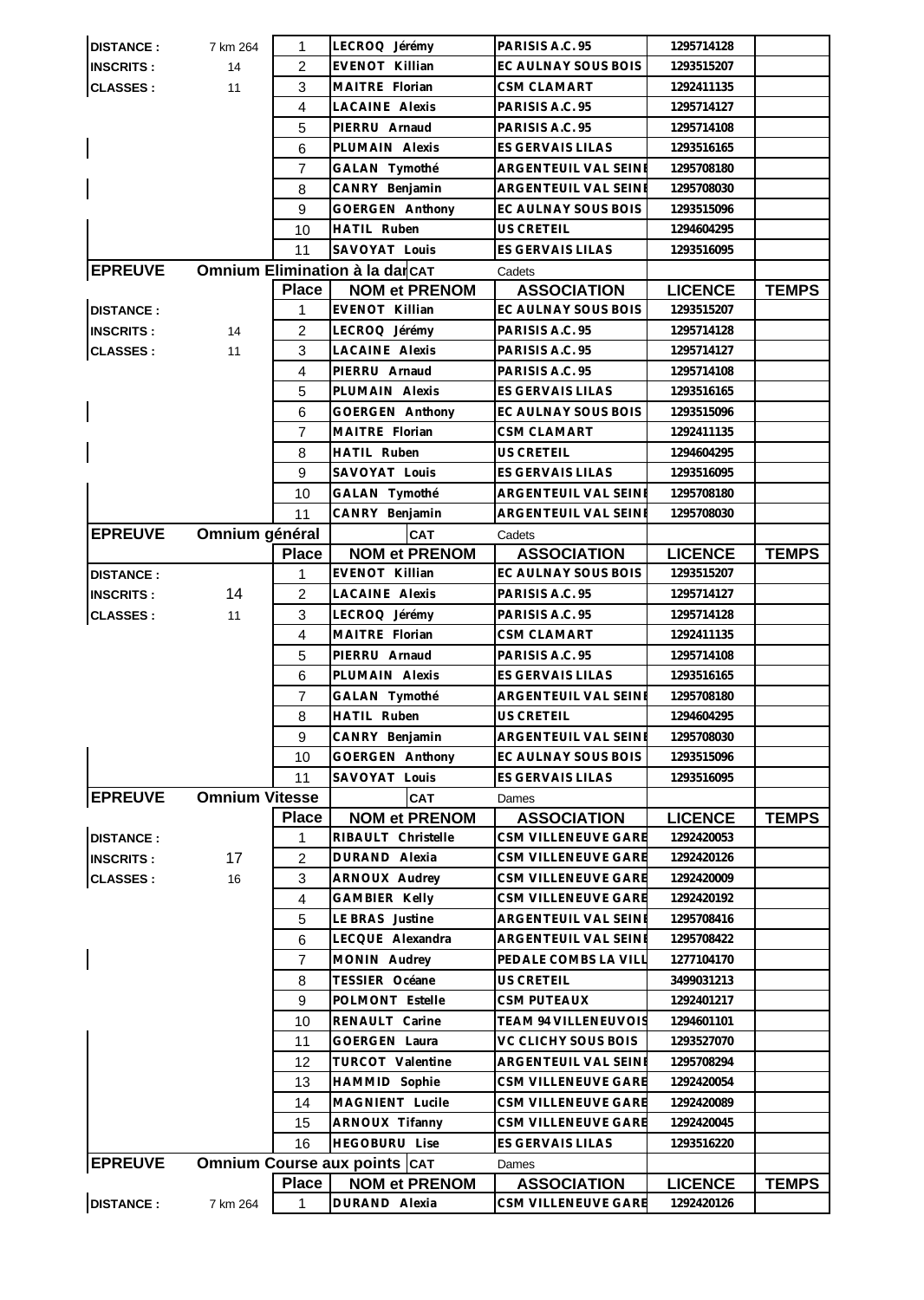| <b>DISTANCE:</b> | 7 km 264              | 1              | DURAND Alexia                       | CSM VILLENEUVE GARE         | 1292420126     |              |
|------------------|-----------------------|----------------|-------------------------------------|-----------------------------|----------------|--------------|
|                  |                       | <b>Place</b>   | <b>NOM et PRENOM</b>                | <b>ASSOCIATION</b>          | <b>LICENCE</b> | <b>TEMPS</b> |
| <b>EPREUVE</b>   |                       |                | <b>Omnium Course aux points CAT</b> | Dames                       |                |              |
|                  |                       |                |                                     |                             |                |              |
|                  |                       | 16             | <b>HEGOBURU Lise</b>                | ES GERVAIS LILAS            | 1293516220     |              |
|                  |                       | 15             | ARNOUX Tifanny                      | CSM VILLENEUVE GARE         | 1292420045     |              |
|                  |                       | 14             | MAGNIENT Lucile                     | CSM VILLENEUVE GARE         | 1292420089     |              |
|                  |                       | 13             | HAMMID Sophie                       | CSM VILLENEUVE GARE         | 1292420054     |              |
|                  |                       | 12             | TURCOT Valentine                    | ARGENTEUIL VAL SEINE        | 1295708294     |              |
|                  |                       | 11             | GOERGEN Laura                       | VC CLICHY SOUS BOIS         | 1293527070     |              |
|                  |                       | 10             | RENAULT Carine                      | <b>TEAM 94 VILLENEUVOIS</b> | 1294601101     |              |
|                  |                       | 9              | POLMONT Estelle                     | <b>CSM PUTEAUX</b>          | 1292401217     |              |
|                  |                       | 8              | TESSIER Océane                      | US CRETEIL                  | 3499031213     |              |
|                  |                       | $\overline{7}$ | MONIN Audrey                        | PEDALE COMBS LA VILI        | 1277104170     |              |
|                  |                       | 6              | LECQUE Alexandra                    | ARGENTEUIL VAL SEINE        | 1295708422     |              |
|                  |                       | 5              | LE BRAS Justine                     | ARGENTEUIL VAL SEINE        | 1295708416     |              |
|                  |                       | 4              | <b>GAMBIER Kelly</b>                | CSM VILLENEUVE GARE         | 1292420192     |              |
| <b>CLASSES:</b>  | 16                    | 3              | ARNOUX Audrey                       | CSM VILLENEUVE GARE         | 1292420009     |              |
| <b>INSCRITS:</b> | 17                    | 2              | DURAND Alexia                       | CSM VILLENEUVE GARE         | 1292420126     |              |
| <b>DISTANCE:</b> |                       | 1              | RIBAULT Christelle                  | CSM VILLENEUVE GARE         | 1292420053     |              |
|                  |                       | <b>Place</b>   | <b>NOM et PRENOM</b>                | <b>ASSOCIATION</b>          | <b>LICENCE</b> | <b>TEMPS</b> |
| <b>EPREUVE</b>   | <b>Omnium Vitesse</b> |                | CAT                                 | Dames                       |                |              |
|                  |                       | 11             | SAVOYAT Louis                       | ES GERVAIS LILAS            | 1293516095     |              |
|                  |                       | 10             | GOERGEN Anthony                     | EC AULNAY SOUS BOIS         | 1293515096     |              |
|                  |                       | 9              | CANRY Benjamin                      | ARGENTEUIL VAL SEINI        | 1295708030     |              |
|                  |                       | 8              | HATIL Ruben                         | US CRETEIL                  | 1294604295     |              |
|                  |                       | $\overline{7}$ | GALAN Tymothé                       | ARGENTEUIL VAL SEINE        | 1295708180     |              |
|                  |                       | 6              | PLUMAIN Alexis                      | ES GERVAIS LILAS            | 1293516165     |              |
|                  |                       | 5              | PIERRU Arnaud                       | PARISIS A.C. 95             | 1295714108     |              |
|                  |                       | $\overline{4}$ | MAITRE Florian                      | <b>CSM CLAMART</b>          | 1292411135     |              |
| <b>CLASSES:</b>  | 11                    | 3              | LECROQ Jérémy                       | PARISIS A.C. 95             | 1295714128     |              |
| <b>INSCRITS:</b> | 14                    | 2              | LACAINE Alexis                      | PARISIS A.C. 95             | 1295714127     |              |
| <b>DISTANCE:</b> |                       | 1              | EVENOT Killian                      | EC AULNAY SOUS BOIS         | 1293515207     |              |
|                  |                       | <b>Place</b>   | <b>NOM et PRENOM</b>                | <b>ASSOCIATION</b>          | <b>LICENCE</b> | <b>TEMPS</b> |
| <b>EPREUVE</b>   | Omnium général        |                | <b>CAT</b>                          | Cadets                      |                |              |
|                  |                       | 11             | CANRY Benjamin                      | ARGENTEUIL VAL SEINE        | 1295708030     |              |
|                  |                       | 10             | GALAN Tymothé                       | ARGENTEUIL VAL SEINE        | 1295708180     |              |
|                  |                       | 9              | SAVOYAT Louis                       | ES GERVAIS LILAS            | 1293516095     |              |
|                  |                       | 8              | <b>HATIL Ruben</b>                  | <b>US CRETEIL</b>           | 1294604295     |              |
|                  |                       | $\overline{7}$ | MAITRE Florian                      | <b>CSM CLAMART</b>          | 1292411135     |              |
|                  |                       | 6              | GOERGEN Anthony                     | EC AULNAY SOUS BOIS         | 1293515096     |              |
|                  |                       | 5              | PLUMAIN Alexis                      | ES GERVAIS LILAS            | 1293516165     |              |
|                  |                       | 4              | PIERRU Arnaud                       | PARISIS A.C. 95             | 1295714108     |              |
| <b>CLASSES:</b>  | 11                    | 3              | LACAINE Alexis                      | PARISIS A.C. 95             | 1295714127     |              |
| <b>INSCRITS:</b> | 14                    | $\overline{2}$ | LECROQ Jérémy                       | PARISIS A.C. 95             | 1295714128     |              |
| <b>DISTANCE:</b> |                       | 1              | EVENOT Killian                      | EC AULNAY SOUS BOIS         | 1293515207     |              |
|                  |                       | Place          | <b>NOM et PRENOM</b>                | <b>ASSOCIATION</b>          | <b>LICENCE</b> | <b>TEMPS</b> |
| <b>EPREUVE</b>   |                       |                | Omnium Elimination à la darcAT      | Cadets                      |                |              |
|                  |                       | 11             | SAVOYAT Louis                       | ES GERVAIS LILAS            | 1293516095     |              |
|                  |                       | 10             | <b>HATIL Ruben</b>                  | <b>US CRETEIL</b>           | 1294604295     |              |
|                  |                       | 9              | GOERGEN Anthony                     | EC AULNAY SOUS BOIS         | 1293515096     |              |
|                  |                       | 8              | CANRY Benjamin                      | ARGENTEUIL VAL SEINE        | 1295708030     |              |
|                  |                       | $\overline{7}$ | GALAN Tymothé                       | ARGENTEUIL VAL SEINE        | 1295708180     |              |
|                  |                       | 6              | PLUMAIN Alexis                      | ES GERVAIS LILAS            | 1293516165     |              |
|                  |                       | 5              | PIERRU Arnaud                       | PARISIS A.C. 95             | 1295714108     |              |
|                  |                       | $\overline{4}$ | <b>LACAINE Alexis</b>               | PARISIS A.C. 95             | 1295714127     |              |
| <b>CLASSES:</b>  | 11                    | 3              | MAITRE Florian                      | <b>CSM CLAMART</b>          | 1292411135     |              |
| <b>INSCRITS:</b> | 14                    | $\overline{2}$ | EVENOT Killian                      | EC AULNAY SOUS BOIS         | 1293515207     |              |
| <b>DISTANCE:</b> | 7 km 264              | $\mathbf 1$    | LECROQ Jérémy                       | PARISIS A.C. 95             | 1295714128     |              |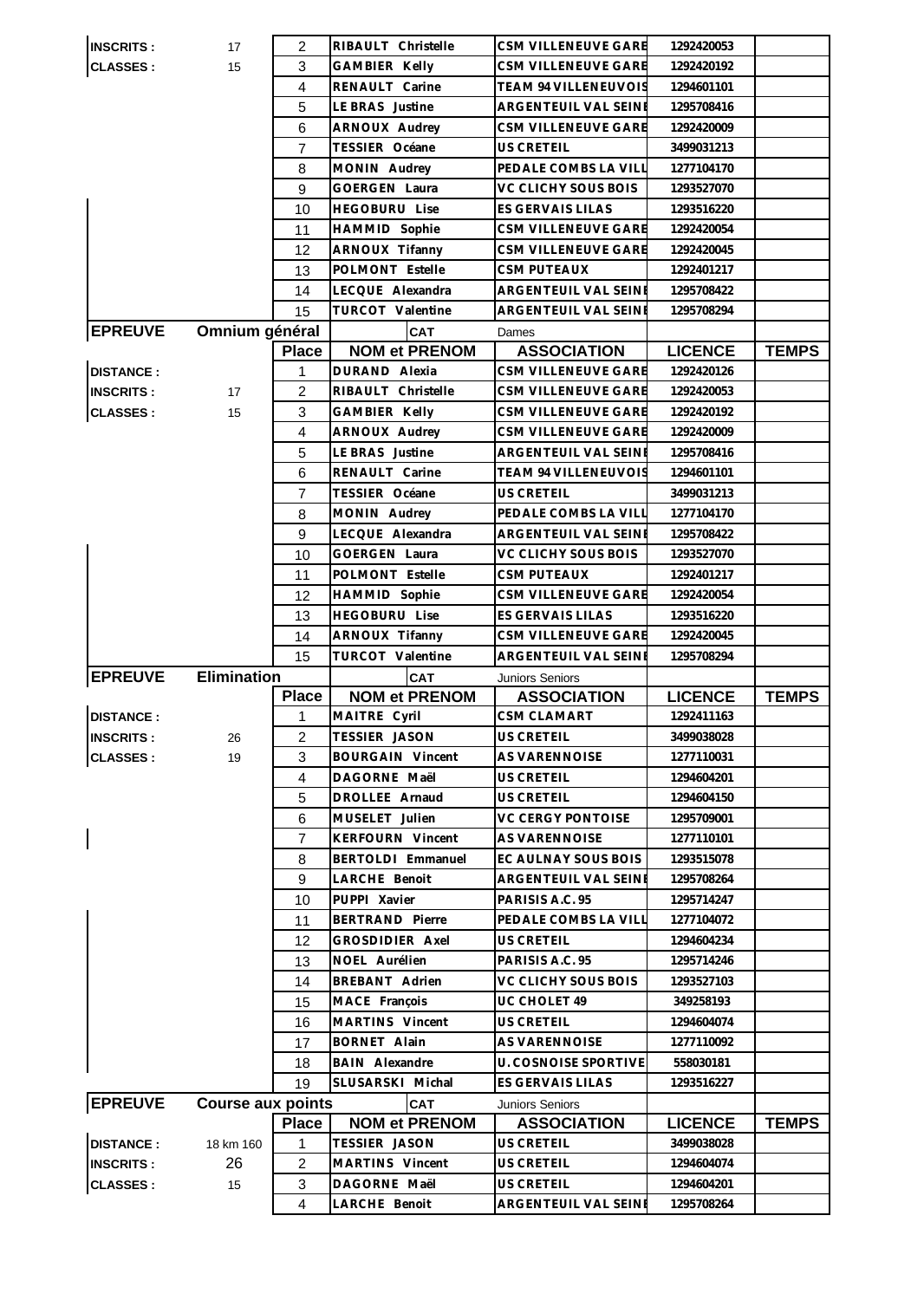| <b>INSCRITS:</b>         | 17                       | 2                   | RIBAULT Christelle            | CSM VILLENEUVE GARE                | 1292420053               |              |
|--------------------------|--------------------------|---------------------|-------------------------------|------------------------------------|--------------------------|--------------|
| <b>CLASSES:</b>          | 15                       | 3                   | GAMBIER Kelly                 | CSM VILLENEUVE GARE                | 1292420192               |              |
|                          |                          | 4                   | RENAULT Carine                | TEAM 94 VILLENEUVOIS               | 1294601101               |              |
|                          |                          | 5                   | LE BRAS Justine               | ARGENTEUIL VAL SEINE               | 1295708416               |              |
|                          |                          | 6                   | ARNOUX Audrey                 | CSM VILLENEUVE GARE                | 1292420009               |              |
|                          |                          | $\overline{7}$      | TESSIER Océane                | US CRETEIL                         | 3499031213               |              |
|                          |                          | 8                   | MONIN Audrey                  | PEDALE COMBS LA VILL               | 1277104170               |              |
|                          |                          | 9                   | <b>GOERGEN Laura</b>          | VC CLICHY SOUS BOIS                | 1293527070               |              |
|                          |                          | 10                  | <b>HEGOBURU Lise</b>          | ES GERVAIS LILAS                   | 1293516220               |              |
|                          |                          | 11                  | HAMMID Sophie                 | CSM VILLENEUVE GARE                | 1292420054               |              |
|                          |                          | 12                  | ARNOUX Tifanny                | CSM VILLENEUVE GARE                | 1292420045               |              |
|                          |                          | 13                  | POLMONT Estelle               | CSM PUTEAUX                        | 1292401217               |              |
|                          |                          | 14                  | LECQUE Alexandra              | ARGENTEUIL VAL SEINE               | 1295708422               |              |
|                          |                          | 15                  | TURCOT Valentine              | ARGENTEUIL VAL SEINE               | 1295708294               |              |
| <b>EPREUVE</b>           | Omnium général           |                     | <b>CAT</b>                    | Dames                              |                          |              |
|                          |                          | <b>Place</b>        | <b>NOM et PRENOM</b>          | <b>ASSOCIATION</b>                 | <b>LICENCE</b>           | <b>TEMPS</b> |
| <b>DISTANCE:</b>         |                          | 1                   | DURAND Alexia                 | CSM VILLENEUVE GARE                | 1292420126               |              |
| <b>INSCRITS:</b>         | 17                       | 2                   | RIBAULT Christelle            | CSM VILLENEUVE GARE                | 1292420053               |              |
| <b>CLASSES:</b>          | 15                       | 3                   | GAMBIER Kelly                 | CSM VILLENEUVE GARE                | 1292420192               |              |
|                          |                          | $\overline{4}$      | ARNOUX Audrey                 | CSM VILLENEUVE GARE                | 1292420009               |              |
|                          |                          | 5                   | LE BRAS Justine               | ARGENTEUIL VAL SEINE               | 1295708416               |              |
|                          |                          | 6                   | RENAULT Carine                | <b>TEAM 94 VILLENEUVOIS</b>        | 1294601101               |              |
|                          |                          | 7                   | TESSIER Océane                | US CRETEIL                         | 3499031213               |              |
|                          |                          | 8                   | MONIN Audrey                  | PEDALE COMBS LA VILL               | 1277104170               |              |
|                          |                          | 9                   | LECQUE Alexandra              | ARGENTEUIL VAL SEINE               | 1295708422               |              |
|                          |                          | 10                  | GOERGEN Laura                 | VC CLICHY SOUS BOIS                | 1293527070               |              |
|                          |                          | 11                  | POLMONT Estelle               | <b>CSM PUTEAUX</b>                 | 1292401217               |              |
|                          |                          | 12                  | HAMMID Sophie                 | CSM VILLENEUVE GARE                | 1292420054               |              |
|                          |                          | 13                  | <b>HEGOBURU Lise</b>          | ES GERVAIS LILAS                   | 1293516220               |              |
|                          |                          |                     |                               |                                    |                          |              |
|                          |                          |                     |                               |                                    |                          |              |
|                          |                          | 14                  | ARNOUX Tifanny                | CSM VILLENEUVE GARE                | 1292420045               |              |
|                          |                          | 15                  | TURCOT Valentine              | ARGENTEUIL VAL SEINE               | 1295708294               |              |
| <b>EPREUVE</b>           | <b>Elimination</b>       |                     | <b>CAT</b>                    | Juniors Seniors                    |                          |              |
|                          |                          | <b>Place</b>        | <b>NOM et PRENOM</b>          | <b>ASSOCIATION</b>                 | <b>LICENCE</b>           | <b>TEMPS</b> |
| <b>DISTANCE:</b>         |                          | 1                   | MAITRE Cyril                  | CSM CLAMART                        | 1292411163               |              |
| <b>INSCRITS:</b>         | 26                       | 2                   | TESSIER JASON                 | <b>US CRETEIL</b>                  | 3499038028               |              |
| <b>CLASSES:</b>          | 19                       | 3                   | <b>BOURGAIN Vincent</b>       | AS VARENNOISE                      | 1277110031               |              |
|                          |                          | $\overline{4}$      | DAGORNE Maël                  | <b>US CRETEIL</b>                  | 1294604201               |              |
|                          |                          | 5                   | DROLLEE Arnaud                | <b>US CRETEIL</b>                  | 1294604150               |              |
|                          |                          | 6                   | MUSELET Julien                | VC CERGY PONTOISE                  | 1295709001               |              |
| $\overline{\phantom{a}}$ |                          | $\overline{7}$      | <b>KERFOURN Vincent</b>       | AS VARENNOISE                      | 1277110101               |              |
|                          |                          | 8                   | BERTOLDI Emmanuel             | EC AULNAY SOUS BOIS                | 1293515078               |              |
|                          |                          | 9                   | LARCHE Benoit                 | <b>ARGENTEUIL VAL SEINE</b>        | 1295708264               |              |
|                          |                          | 10                  | PUPPI Xavier                  | PARISIS A.C. 95                    | 1295714247               |              |
|                          |                          | 11                  | <b>BERTRAND Pierre</b>        | PEDALE COMBS LA VILL               | 1277104072               |              |
|                          |                          | 12                  | GROSDIDIER Axel               | US CRETEIL                         | 1294604234               |              |
|                          |                          | 13                  | NOEL Aurélien                 | PARISIS A.C. 95                    | 1295714246               |              |
|                          |                          | 14                  | <b>BREBANT Adrien</b>         | VC CLICHY SOUS BOIS                | 1293527103               |              |
|                          |                          | 15                  | MACE François                 | UC CHOLET 49                       | 349258193                |              |
|                          |                          | 16                  | MARTINS Vincent               | US CRETEIL                         | 1294604074               |              |
|                          |                          | 17                  | <b>BORNET Alain</b>           | AS VARENNOISE                      | 1277110092               |              |
|                          |                          | 18                  | <b>BAIN Alexandre</b>         | <b>U. COSNOISE SPORTIVE</b>        | 558030181                |              |
|                          |                          | 19                  | SLUSARSKI Michal              | ES GERVAIS LILAS                   | 1293516227               |              |
| <b>EPREUVE</b>           | <b>Course aux points</b> |                     | <b>CAT</b>                    | <b>Juniors Seniors</b>             |                          |              |
|                          |                          | <b>Place</b>        | <b>NOM et PRENOM</b>          | <b>ASSOCIATION</b>                 | <b>LICENCE</b>           | <b>TEMPS</b> |
| <b>DISTANCE:</b>         | 18 km 160                | 1                   | TESSIER JASON                 | US CRETEIL                         | 3499038028               |              |
| <b>INSCRITS:</b>         | 26                       | $\overline{c}$      | MARTINS Vincent               | US CRETEIL                         | 1294604074               |              |
| <b>CLASSES:</b>          | 15                       | 3<br>$\overline{4}$ | DAGORNE Maël<br>LARCHE Benoit | US CRETEIL<br>ARGENTEUIL VAL SEINI | 1294604201<br>1295708264 |              |